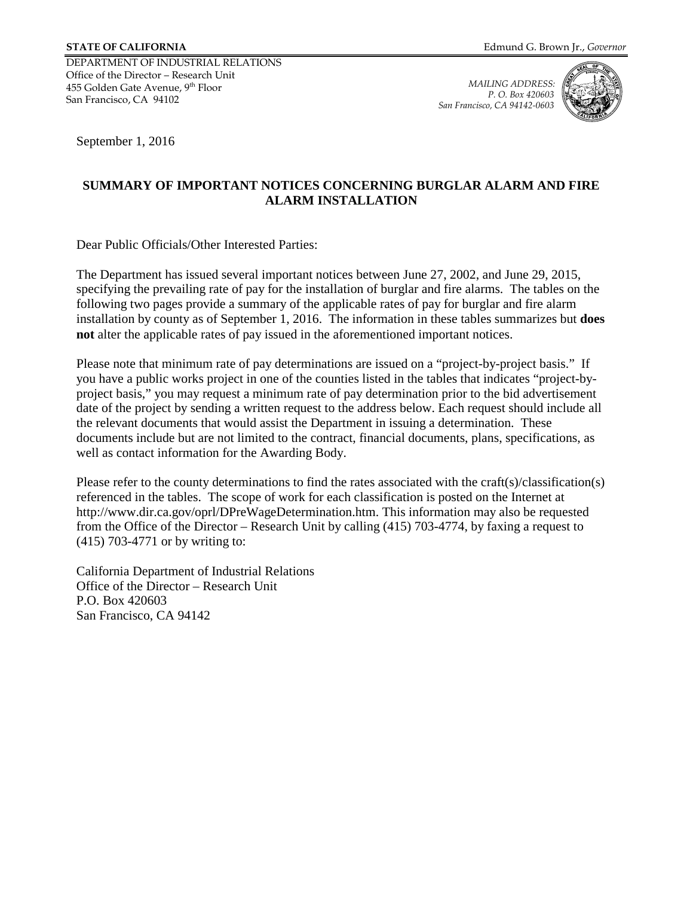DEPARTMENT OF INDUSTRIAL RELATIONS Office of the Director – Research Unit 455 Golden Gate Avenue, 9th Floor San Francisco, CA 94102

*MAILING ADDRESS: P. O. Box 420603 San Francisco, CA 94142-0603*



September 1, 2016

## **SUMMARY OF IMPORTANT NOTICES CONCERNING BURGLAR ALARM AND FIRE ALARM INSTALLATION**

Dear Public Officials/Other Interested Parties:

The Department has issued several important notices between June 27, 2002, and June 29, 2015, specifying the prevailing rate of pay for the installation of burglar and fire alarms. The tables on the following two pages provide a summary of the applicable rates of pay for burglar and fire alarm installation by county as of September 1, 2016. The information in these tables summarizes but **does not** alter the applicable rates of pay issued in the aforementioned important notices.

Please note that minimum rate of pay determinations are issued on a "project-by-project basis." If you have a public works project in one of the counties listed in the tables that indicates "project-byproject basis," you may request a minimum rate of pay determination prior to the bid advertisement date of the project by sending a written request to the address below. Each request should include all the relevant documents that would assist the Department in issuing a determination. These documents include but are not limited to the contract, financial documents, plans, specifications, as well as contact information for the Awarding Body.

Please refer to the county determinations to find the rates associated with the craft(s)/classification(s) referenced in the tables. The scope of work for each classification is posted on the Internet at http://www.dir.ca.gov/oprl/DPreWageDetermination.htm. This information may also be requested from the Office of the Director – Research Unit by calling (415) 703-4774, by faxing a request to (415) 703-4771 or by writing to:

California Department of Industrial Relations Office of the Director – Research Unit P.O. Box 420603 San Francisco, CA 94142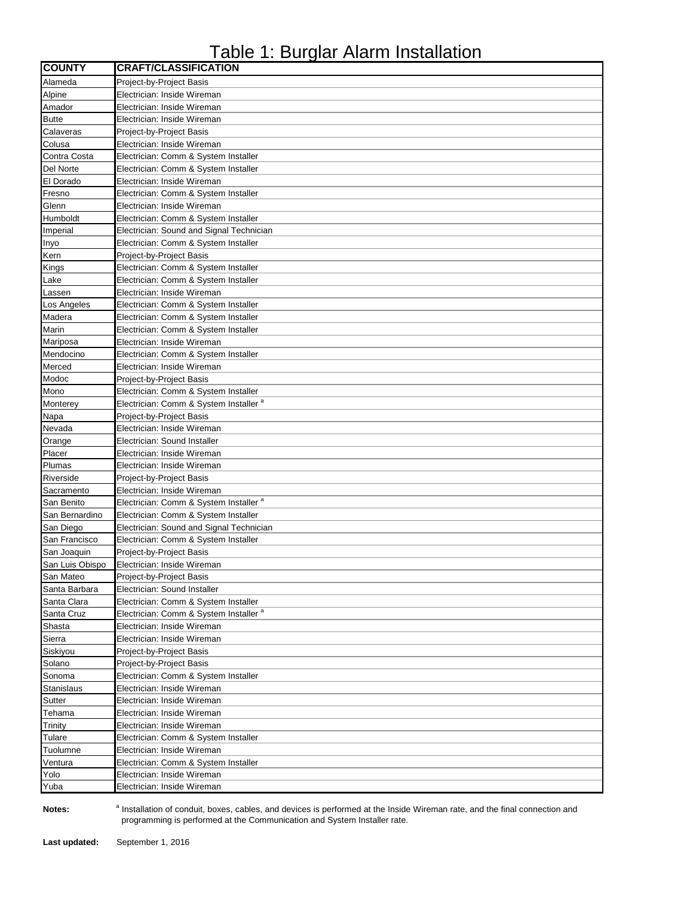## Table 1: Burglar Alarm Installation

| <b>COUNTY</b>     | <b>CRAFT/CLASSIFICATION</b>                       |
|-------------------|---------------------------------------------------|
| Alameda           | <b>Project-by-Project Basis</b>                   |
| Alpine            | Electrician: Inside Wireman                       |
| Amador            | Electrician: Inside Wireman                       |
| <b>Butte</b>      | Electrician: Inside Wireman                       |
| Calaveras         | Project-by-Project Basis                          |
| Colusa            | Electrician: Inside Wireman                       |
| Contra Costa      | Electrician: Comm & System Installer              |
| Del Norte         | Electrician: Comm & System Installer              |
| El Dorado         | Electrician: Inside Wireman                       |
| Fresno            | Electrician: Comm & System Installer              |
| Glenn             | Electrician: Inside Wireman                       |
| Humboldt          | Electrician: Comm & System Installer              |
|                   |                                                   |
| Imperial          | Electrician: Sound and Signal Technician          |
| Inyo              | Electrician: Comm & System Installer              |
| Kern              | Project-by-Project Basis                          |
| Kings             | Electrician: Comm & System Installer              |
| Lake              | Electrician: Comm & System Installer              |
| Lassen            | Electrician: Inside Wireman                       |
| Los Angeles       | Electrician: Comm & System Installer              |
| Madera            | Electrician: Comm & System Installer              |
| Marin             | Electrician: Comm & System Installer              |
| Mariposa          | Electrician: Inside Wireman                       |
| Mendocino         | Electrician: Comm & System Installer              |
| Merced            | Electrician: Inside Wireman                       |
| Modoc             | Project-by-Project Basis                          |
| Mono              | Electrician: Comm & System Installer              |
| Monterey          | Electrician: Comm & System Installer <sup>a</sup> |
| Napa              | Project-by-Project Basis                          |
| Nevada            | Electrician: Inside Wireman                       |
| Orange            | Electrician: Sound Installer                      |
| Placer            | Electrician: Inside Wireman                       |
| Plumas            | Electrician: Inside Wireman                       |
| Riverside         | Project-by-Project Basis                          |
| Sacramento        | Electrician: Inside Wireman                       |
| San Benito        | Electrician: Comm & System Installer <sup>a</sup> |
| San Bernardino    | Electrician: Comm & System Installer              |
| San Diego         | Electrician: Sound and Signal Technician          |
| San Francisco     | Electrician: Comm & System Installer              |
| San Joaquin       | Project-by-Project Basis                          |
| San Luis Obispo   | Electrician: Inside Wireman                       |
| San Mateo         | Project-by-Project Basis                          |
| Santa Barbara     | Electrician: Sound Installer                      |
|                   | Electrician: Comm & System Installer              |
| Santa Clara       | Electrician: Comm & System Installer <sup>a</sup> |
| Santa Cruz        |                                                   |
| Shasta            | Electrician: Inside Wireman                       |
| Sierra            | Electrician: Inside Wireman                       |
| Siskiyou          | Project-by-Project Basis                          |
| Solano            | Project-by-Project Basis                          |
| Sonoma            | Electrician: Comm & System Installer              |
| <b>Stanislaus</b> | Electrician: Inside Wireman                       |
| Sutter            | Electrician: Inside Wireman                       |
| Tehama            | Electrician: Inside Wireman                       |
| Trinity           | Electrician: Inside Wireman                       |
| Tulare            | Electrician: Comm & System Installer              |
| Tuolumne          | Electrician: Inside Wireman                       |
| Ventura           | Electrician: Comm & System Installer              |
| Yolo              | Electrician: Inside Wireman                       |
| Yuba              | Electrician: Inside Wireman                       |

**Notes:** 

<sup>a</sup> Installation of conduit, boxes, cables, and devices is performed at the Inside Wireman rate, and the final connection and programming is performed at the Communication and System Installer rate.